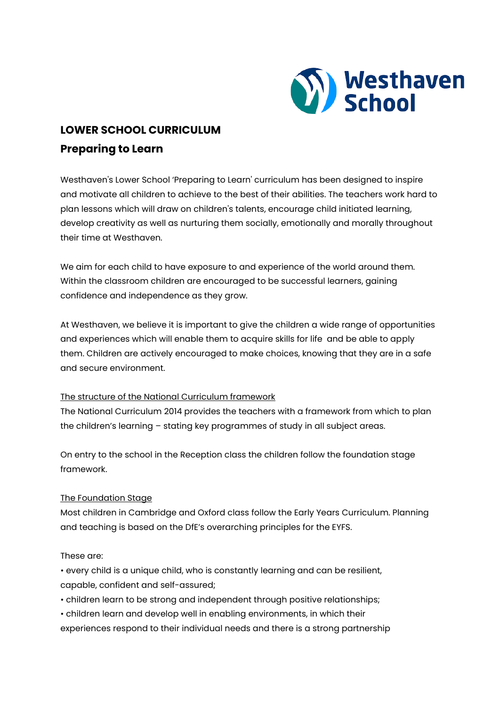

# **LOWER SCHOOL CURRICULUM Preparing to Learn**

Westhaven's Lower School 'Preparing to Learn' curriculum has been designed to inspire and motivate all children to achieve to the best of their abilities. The teachers work hard to plan lessons which will draw on children's talents, encourage child initiated learning, develop creativity as well as nurturing them socially, emotionally and morally throughout their time at Westhaven.

We aim for each child to have exposure to and experience of the world around them. Within the classroom children are encouraged to be successful learners, gaining confidence and independence as they grow.

At Westhaven, we believe it is important to give the children a wide range of opportunities and experiences which will enable them to acquire skills for life and be able to apply them. Children are actively encouraged to make choices, knowing that they are in a safe and secure environment.

## The structure of the National Curriculum framework

The National Curriculum 2014 provides the teachers with a framework from which to plan the children's learning – stating key programmes of study in all subject areas.

On entry to the school in the Reception class the children follow the foundation stage framework.

## The Foundation Stage

Most children in Cambridge and Oxford class follow the Early Years Curriculum. Planning and teaching is based on the DfE's overarching principles for the EYFS.

## These are:

- every child is a unique child, who is constantly learning and can be resilient, capable, confident and self-assured;
- children learn to be strong and independent through positive relationships;
- children learn and develop well in enabling environments, in which their
- experiences respond to their individual needs and there is a strong partnership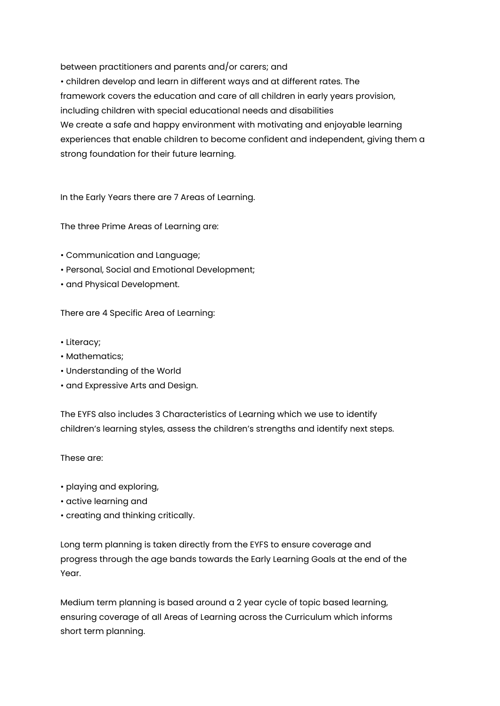between practitioners and parents and/or carers; and • children develop and learn in different ways and at different rates. The framework covers the education and care of all children in early years provision, including children with special educational needs and disabilities We create a safe and happy environment with motivating and enjoyable learning experiences that enable children to become confident and independent, giving them a strong foundation for their future learning.

In the Early Years there are 7 Areas of Learning.

The three Prime Areas of Learning are:

- Communication and Language;
- Personal, Social and Emotional Development;
- and Physical Development.

There are 4 Specific Area of Learning:

- Literacy;
- Mathematics;
- Understanding of the World
- and Expressive Arts and Design.

The EYFS also includes 3 Characteristics of Learning which we use to identify children's learning styles, assess the children's strengths and identify next steps.

These are:

- playing and exploring,
- active learning and
- creating and thinking critically.

Long term planning is taken directly from the EYFS to ensure coverage and progress through the age bands towards the Early Learning Goals at the end of the Year.

Medium term planning is based around a 2 year cycle of topic based learning, ensuring coverage of all Areas of Learning across the Curriculum which informs short term planning.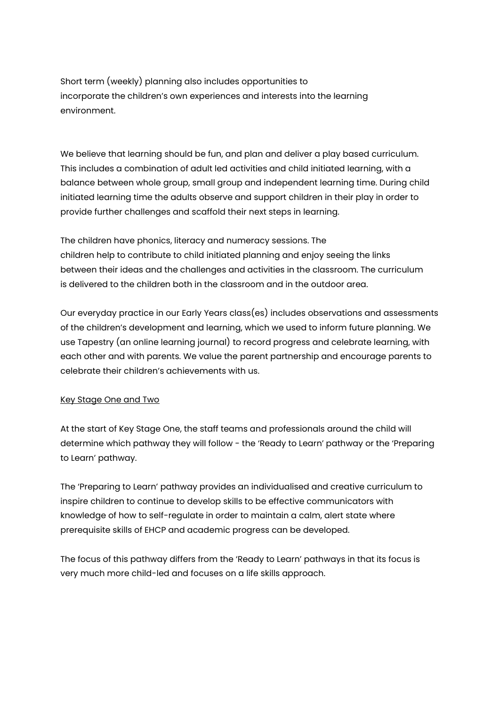Short term (weekly) planning also includes opportunities to incorporate the children's own experiences and interests into the learning environment.

We believe that learning should be fun, and plan and deliver a play based curriculum. This includes a combination of adult led activities and child initiated learning, with a balance between whole group, small group and independent learning time. During child initiated learning time the adults observe and support children in their play in order to provide further challenges and scaffold their next steps in learning.

The children have phonics, literacy and numeracy sessions. The children help to contribute to child initiated planning and enjoy seeing the links between their ideas and the challenges and activities in the classroom. The curriculum is delivered to the children both in the classroom and in the outdoor area.

Our everyday practice in our Early Years class(es) includes observations and assessments of the children's development and learning, which we used to inform future planning. We use Tapestry (an online learning journal) to record progress and celebrate learning, with each other and with parents. We value the parent partnership and encourage parents to celebrate their children's achievements with us.

## Key Stage One and Two

At the start of Key Stage One, the staff teams and professionals around the child will determine which pathway they will follow - the 'Ready to Learn' pathway or the 'Preparing to Learn' pathway.

The 'Preparing to Learn' pathway provides an individualised and creative curriculum to inspire children to continue to develop skills to be effective communicators with knowledge of how to self-regulate in order to maintain a calm, alert state where prerequisite skills of EHCP and academic progress can be developed.

The focus of this pathway differs from the 'Ready to Learn' pathways in that its focus is very much more child-led and focuses on a life skills approach.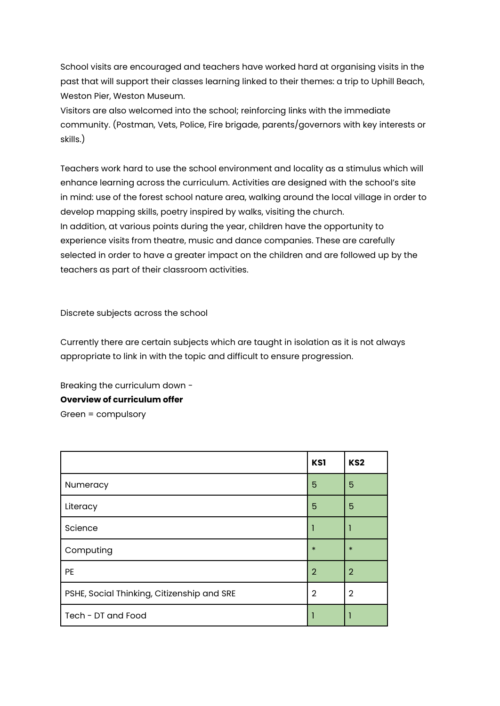School visits are encouraged and teachers have worked hard at organising visits in the past that will support their classes learning linked to their themes: a trip to Uphill Beach, Weston Pier, Weston Museum.

Visitors are also welcomed into the school; reinforcing links with the immediate community. (Postman, Vets, Police, Fire brigade, parents/governors with key interests or skills.)

Teachers work hard to use the school environment and locality as a stimulus which will enhance learning across the curriculum. Activities are designed with the school's site in mind: use of the forest school nature area, walking around the local village in order to develop mapping skills, poetry inspired by walks, visiting the church. In addition, at various points during the year, children have the opportunity to experience visits from theatre, music and dance companies. These are carefully selected in order to have a greater impact on the children and are followed up by the teachers as part of their classroom activities.

Discrete subjects across the school

Currently there are certain subjects which are taught in isolation as it is not always appropriate to link in with the topic and difficult to ensure progression.

Breaking the curriculum down - **Overview of curriculum offer**  Green = compulsory

|                                            | KS1            | KS <sub>2</sub> |
|--------------------------------------------|----------------|-----------------|
| Numeracy                                   | 5              | 5               |
| Literacy                                   | 5              | 5               |
| Science                                    |                |                 |
| Computing                                  | $\ast$         | $\ast$          |
| <b>PE</b>                                  | $\overline{2}$ | $\overline{2}$  |
| PSHE, Social Thinking, Citizenship and SRE | $\overline{2}$ | $\overline{2}$  |
| Tech - DT and Food                         |                |                 |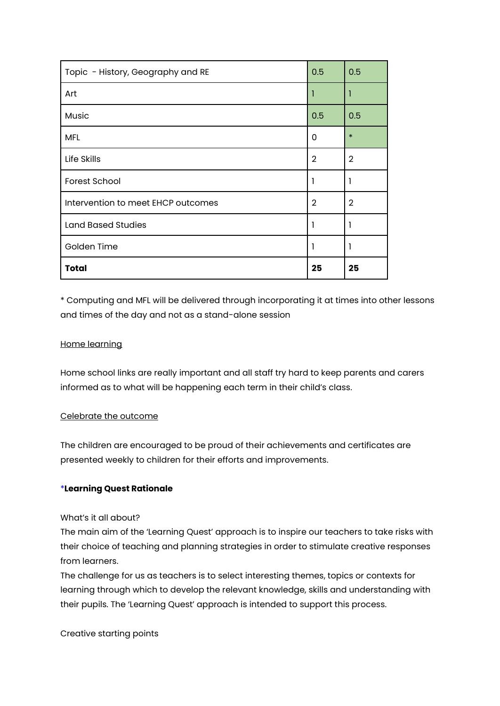| Topic - History, Geography and RE  | 0.5            | 0.5            |
|------------------------------------|----------------|----------------|
| Art                                |                | 1              |
| Music                              | 0.5            | 0.5            |
| <b>MFL</b>                         | 0              | $\ast$         |
| Life Skills                        | $\overline{2}$ | $\overline{2}$ |
| <b>Forest School</b>               |                | 1              |
| Intervention to meet EHCP outcomes | $\overline{2}$ | $\overline{2}$ |
| <b>Land Based Studies</b>          |                | -1             |
| Golden Time                        |                | 1              |
| <b>Total</b>                       | 25             | 25             |

\* Computing and MFL will be delivered through incorporating it at times into other lessons and times of the day and not as a stand-alone session

## Home learning

Home school links are really important and all staff try hard to keep parents and carers informed as to what will be happening each term in their child's class.

## Celebrate the outcome

The children are encouraged to be proud of their achievements and certificates are presented weekly to children for their efforts and improvements.

## \***Learning Quest Rationale**

## What's it all about?

The main aim of the 'Learning Quest' approach is to inspire our teachers to take risks with their choice of teaching and planning strategies in order to stimulate creative responses from learners.

The challenge for us as teachers is to select interesting themes, topics or contexts for learning through which to develop the relevant knowledge, skills and understanding with their pupils. The 'Learning Quest' approach is intended to support this process.

Creative starting points